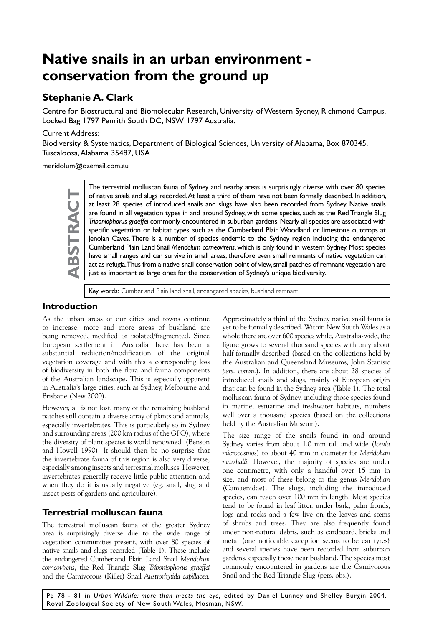# **Native snails in an urban environment conservation from the ground up**

## **Stephanie A. Clark**

Centre for Biostructural and Biomolecular Research, University of Western Sydney, Richmond Campus, Locked Bag 1797 Penrith South DC, NSW 1797 Australia.

#### Current Address:

Biodiversity & Systematics, Department of Biological Sciences, University of Alabama, Box 870345, Tuscaloosa, Alabama 35487, USA.

meridolum@ozemail.com.au



The terrestrial molluscan fauna of Sydney and nearby areas is surprisingly diverse with over 80 species of native snails and slugs recorded. At least a third of them have not been formally described. In addition, at least of native snails and slugs recorded. At least a third of them have not been formally described. In addition, at least 28 species of introduced snails and slugs have also been recorded from Sydney. Native snails are found in all vegetation types in and around Sydney, with some species, such as the Red Triangle Slug *Triboniophorus graeffei* commonly encountered in suburban gardens. Nearly all species are associated with specific vegetation or habitat types, such as the Cumberland Plain Woodland or limestone outcrops at Jenolan Caves. There is a number of species endemic to the Sydney region including the endangered Cumberland Plain Land Snail *Meridolum corneovirens*, which is only found in western Sydney. Most species have small ranges and can survive in small areas, therefore even small remnants of native vegetation can act as refugia. Thus from a native-snail conservation point of view, small patches of remnant vegetation are just as important as large ones for the conservation of Sydney's unique biodiversity.

Key words: Cumberland Plain land snail, endangered species, bushland remnant.

#### **Introduction**

As the urban areas of our cities and towns continue to increase, more and more areas of bushland are being removed, modified or isolated/fragmented. Since European settlement in Australia there has been a substantial reduction/modification of the original vegetation coverage and with this a corresponding loss of biodiversity in both the flora and fauna components of the Australian landscape. This is especially apparent in Australia's large cities, such as Sydney, Melbourne and Brisbane (New 2000).

However, all is not lost, many of the remaining bushland patches still contain a diverse array of plants and animals, especially invertebrates. This is particularly so in Sydney and surrounding areas (200 km radius of the GPO), where the diversity of plant species is world renowned (Benson and Howell 1990). It should then be no surprise that the invertebrate fauna of this region is also very diverse, especially among insects and terrestrial molluscs. However, invertebrates generally receive little public attention and when they do it is usually negative (eg. snail, slug and insect pests of gardens and agriculture).

### **Terrestrial molluscan fauna**

The terrestrial molluscan fauna of the greater Sydney area is surprisingly diverse due to the wide range of vegetation communities present, with over 80 species of native snails and slugs recorded (Table 1). These include the endangered Cumberland Plain Land Snail *Meridolum corneovirens*, the Red Triangle Slug *Triboniophorus graeffei* and the Carnivorous (Killer) Snail *Austrorhytida capillacea.* 

Approximately a third of the Sydney native snail fauna is yet to be formally described. Within New South Wales as a whole there are over 600 species while, Australia-wide, the figure grows to several thousand species with only about half formally described (based on the collections held by the Australian and Queensland Museums, John Stanisic *pers. comm.*)*.* In addition, there are about 28 species of introduced snails and slugs, mainly of European origin that can be found in the Sydney area (Table 1). The total molluscan fauna of Sydney, including those species found in marine, estuarine and freshwater habitats, numbers well over a thousand species (based on the collections held by the Australian Museum).

The size range of the snails found in and around Sydney varies from about 1.0 mm tall and wide (*Iotula microcosmos*) to about 40 mm in diameter for *Meridolum marshalli.* However, the majority of species are under one centimetre, with only a handful over 15 mm in size, and most of these belong to the genus *Meridolum*  (Camaenidae). The slugs, including the introduced species, can reach over 100 mm in length. Most species tend to be found in leaf litter, under bark, palm fronds, logs and rocks and a few live on the leaves and stems of shrubs and trees. They are also frequently found under non-natural debris, such as cardboard, bricks and metal (one noticeable exception seems to be car tyres) and several species have been recorded from suburban gardens, especially those near bushland. The species most commonly encountered in gardens are the Carnivorous Snail and the Red Triangle Slug (pers. obs.).

Pp 78 - 81 in *Urban Wildlife: more than meets the eye,* edited by Daniel Lunney and Shelley Burgin 2004. Royal Zoological Society of New South Wales, Mosman, NSW.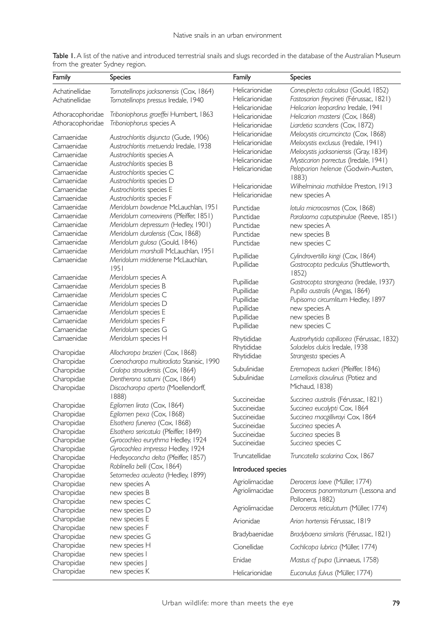| Family           | Species                                     | Family             | <b>Species</b>                            |
|------------------|---------------------------------------------|--------------------|-------------------------------------------|
| Achatinellidae   | Tornatellinops jacksonensis (Cox, 1864)     | Helicarionidae     | Coneuplecta calculosa (Gould, 1852)       |
| Achatinellidae   | Tornatellinops pressus Iredale, 1940        | Helicarionidae     | Fastosarion freycineti (Férussac, 1821)   |
|                  |                                             | Helicarionidae     | Helicarion leopardina Iredale, 1941       |
| Athoracophoridae | Triboniophorus graeffei Humbert, 1863       | Helicarionidae     | Helicarion mastersi (Cox, 1868)           |
| Athoracophoridae | Triboniophorus species A                    | Helicarionidae     | Liardetia scandens (Cox, 1872)            |
| Camaenidae       | Austrochloritis disjuncta (Gude, 1906)      | Helicarionidae     | Melocystis circumcincta (Cox, 1868)       |
| Camaenidae       | Austrochloritis metuenda Iredale, 1938      | Helicarionidae     | Melocystis exclusus (Iredale, 1941)       |
| Camaenidae       | Austrochloritis species A                   | Helicarionidae     | Melocystis jacksoniensis (Gray, 1834)     |
| Camaenidae       | Austrochloritis species B                   | Helicarionidae     | Mysticarion porrectus (Iredale, 1941)     |
| Camaenidae       | Austrochloritis species C                   | Helicarionidae     | Peloparion helenae (Godwin-Austen,        |
| Camaenidae       | Austrochloritis species D                   |                    | 1883)                                     |
| Camaenidae       | Austrochloritis species E                   | Helicarionidae     | Wilhelminaia mathildae Preston, 1913      |
| Camaenidae       | Austrochloritis species F                   | Helicarionidae     | new species A                             |
| Camaenidae       | Meridolum bowdenae McLauchlan, 1951         | Punctidae          | lotula microcosmos (Cox, 1868)            |
| Camaenidae       | Meridolum corneovirens (Pfeiffer, 1851)     | Punctidae          | Paralaoma caputspinulae (Reeve, 1851)     |
| Camaenidae       | Meridolum depressum (Hedley, 1901)          | Punctidae          | new species A                             |
| Camaenidae       | Meridolum duralensis (Cox, 1868)            | Punctidae          | new species B                             |
| Camaenidae       | Meridolum gulosa (Gould, 1846)              | Punctidae          | new species C                             |
| Camaenidae       | Meridolum marshalli McLauchlan, 1951        | Pupillidae         | Cylindrovertilla kingi (Cox, 1864)        |
| Camaenidae       | Meridolum middenense McLauchlan,            | Pupillidae         | Gastrocopta pediculus (Shuttleworth,      |
|                  | 1951                                        |                    | 1852)                                     |
| Camaenidae       | Meridolum species A                         | Pupillidae         | Gastrocopta strangeana (Iredale, 1937)    |
| Camaenidae       | Meridolum species B                         | Pupillidae         | Pupilla australis (Angas, 1864)           |
| Camaenidae       | Meridolum species C                         | Pupillidae         | Pupisoma circumlitum Hedley, 1897         |
| Camaenidae       | Meridolum species D                         | Pupillidae         | new species A                             |
| Camaenidae       | Meridolum species E                         | Pupillidae         | new species B                             |
| Camaenidae       | Meridolum species F                         | Pupillidae         | new species C                             |
| Camaenidae       | Meridolum species G                         |                    |                                           |
| Camaenidae       | Meridolum species H                         | Rhytididae         | Austrorhytida capillacea (Férussac, 1832) |
| Charopidae       | Allocharopa brazieri (Cox, 1868)            | Rhytididae         | Saladelos dulcis Iredale, 1938            |
| Charopidae       | Coenocharopa multiradiata Stanisic, 1990    | Rhytididae         | Strangesta species A                      |
| Charopidae       | Cralopa stroudensis (Cox, 1864)             | Subulinidae        | Eremopeas tuckeri (Pfeiffer, 1846)        |
| Charopidae       | Dentherona saturni (Cox, 1864)              | Subulinidae        | Lamellaxis clavulinus (Potiez and         |
| Charopidae       | Discocharopa aperta (Moellendorff,<br>1888) |                    | Michaud, 1838)                            |
| Charopidae       | Egilomen lirata (Cox, 1864)                 | Succineidae        | Succinea australis (Férussac, 1821)       |
| Charopidae       | Egilomen pexa (Cox, 1868)                   | Succineidae        | Succinea eucalypti Cox, 1864              |
| Charopidae       | Elsothera funerea (Cox, 1868)               | Succineidae        | Succinea macgillivrayi Cox, 1864          |
| Charopidae       | Elsothera sericatula (Pfeiffer, 1849)       | Succineidae        | Succinea species A                        |
| Charopidae       | Gyrocochlea eurythma Hedley, 1924           | Succineidae        | Succinea species B                        |
| Charopidae       | Gyrocochlea impressa Hedley, 1924           | Succineidae        | Succinea species C                        |
| Charopidae       | Hedleyoconcha delta (Pfeiffer, 1857)        | Truncatellidae     | Truncatella scalarina Cox, 1867           |
| Charopidae       | Roblinella belli (Cox, 1864)                |                    |                                           |
| Charopidae       | Setomedea aculeata (Hedley, 1899)           | Introduced species |                                           |
| Charopidae       | new species A                               | Agriolimacidae     | Deroceras laeve (Müller, 1774)            |
| Charopidae       | new species B                               | Agriolimacidae     | Deroceras panormitanum (Lessona and       |
| Charopidae       | new species C                               |                    | Pollonera, 1882)                          |
| Charopidae       | new species D                               | Agriolimacidae     | Deroceras reticulatum (Müller, 1774)      |
| Charopidae       | new species E                               | Arionidae          | Arion hortensis Férussac, 1819            |
| Charopidae       | new species F                               |                    |                                           |
| Charopidae       | new species G                               | Bradybaenidae      | Bradybaena similaris (Férussac, 1821)     |
| Charopidae       | new species H                               | Cionellidae        | Cochlicopa lubrica (Müller, 1774)         |
| Charopidae       | new species I                               | Enidae             | Mastus of pupa (Linnaeus, 1758)           |
| Charopidae       | new species J                               |                    |                                           |
| Charopidae       | new species K                               | Helicarionidae     | Euconulus fulvus (Müller, 1774)           |

Table I. A list of the native and introduced terrestrial snails and slugs recorded in the database of the Australian Museum from the greater Sydney region.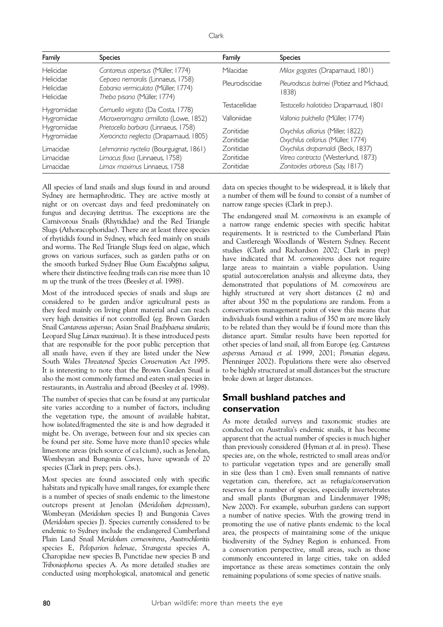| × |
|---|
|---|

| Family                              | <b>Species</b>                                                                                           | Family                                     | <b>Species</b>                                                                                               |
|-------------------------------------|----------------------------------------------------------------------------------------------------------|--------------------------------------------|--------------------------------------------------------------------------------------------------------------|
| Helicidae                           | Cantareus aspersus (Müller, 1774)                                                                        | Milacidae                                  | Milax gagates (Draparnaud, 1801)                                                                             |
| Helicidae<br>Helicidae<br>Helicidae | Cepaea nemoralis (Linnaeus, 1758)<br>Eobania vermiculata (Müller, 1774)<br>Theba pisana (Müller, 1774)   | Pleurodiscidae                             | Pleurodiscus balmei (Potiez and Michaud,<br>1838)                                                            |
| Hygromiidae                         | Cernuella virgata (Da Costa, 1778)                                                                       | Testacellidae                              | Testacella haliotidea Draparnaud, 1801                                                                       |
| Hygromiidae                         | Microxeromagna armillata (Lowe, 1852)                                                                    | Valloniidae                                | Vallonia pulchella (Müller, 1774)                                                                            |
| Hygromiidae<br>Hygromiidae          | Prietocella barbara (Linnaeus, 1758)<br>Xerocincta neglecta (Draparnaud, 1805)                           | Zonitidae<br>Zonitidae                     | Oxychilus alliarius (Miller, 1822)<br>Oxychilus cellarius (Müller, 1774)                                     |
| Limacidae<br>Limacidae<br>Limacidae | Lehmannia nyctelia (Bourguignat, 1861)<br>Limacus flava (Linnaeus, 1758)<br>Limax maximus Linnaeus, 1758 | <b>Zonitidae</b><br>Zonitidae<br>Zonitidae | Oxychilus draparnaldi (Beck, 1837)<br>Vitrea contracta (Westerlund, 1873)<br>Zonitoides arboreus (Say, 1817) |

All species of land snails and slugs found in and around Sydney are hermaphroditic. They are active mostly at night or on overcast days and feed predominately on fungus and decaying detritus. The exceptions are the Carnivorous Snails (Rhytididae) and the Red Triangle Slugs (Athoracophoridae). There are at least three species of rhytidids found in Sydney, which feed mainly on snails and worms. The Red Triangle Slugs feed on algae, which grows on various surfaces, such as garden paths or on the smooth barked Sydney Blue Gum *Eucalyptus saligna,*  where their distinctive feeding trails can rise more than 10 m up the trunk of the trees (Beesley *et al*. 1998).

Most of the introduced species of snails and slugs are considered to be garden and/or agricultural pests as they feed mainly on living plant material and can reach very high densities if not controlled (eg. Brown Garden Snail *Cantareus aspersus*; Asian Snail *Bradybaena similaris*; Leopard Slug *Limax maximus*). It is these introduced pests that are responsible for the poor public perception that all snails have, even if they are listed under the New South Wales *Threatened Species Conservation Act 1995*. It is interesting to note that the Brown Garden Snail is also the most commonly farmed and eaten snail species in restaurants, in Australia and abroad (Beesley *et al*. 1998).

The number of species that can be found at any particular site varies according to a number of factors, including the vegetation type, the amount of available habitat, how isolated/fragmented the site is and how degraded it might be. On average, between four and six species can be found per site. Some have more than10 species while limestone areas (rich source of ca1cium), such as Jenolan, Wombeyan and Bungonia Caves, have upwards of 20 species (Clark in prep; pers. obs.).

Most species are found associated only with specific habitats and typically have small ranges, for example there is a number of species of snails endemic to the limestone outcrops present at Jenolan (*Meridolum depressum*), Wombeyan (*Meridolum* species I) and Bungonia Caves (*Meridolum* species J). Species currently considered to be endemic to Sydney include the endangered Cumberland Plain Land Snail *Meridolum corneovirens*, *Austrochloritis* species E, *Peloparion helenae*, *Strangesta* species A, Charopidae new species B, Punctidae new species B and *Triboniophorus* species A. As more detailed studies are conducted using morphological, anatomical and genetic data on species thought to be widespread, it is likely that a number of them will be found to consist of a number of narrow range species (Clark in prep.).

The endangered snail *M. corneovirens* is an example of a narrow range endemic species with specific habitat requirements. It is restricted to the Cumberland Plain and Castlereagh Woodlands of Western Sydney. Recent studies (Clark and Richardson 2002; Clark in prep) have indicated that *M. corneovirens* does not require large areas to maintain a viable population. Using spatial autocorrelation analysis and allozyme data, they demonstrated that populations of *M. corneovirens* are highly structured at very short distances (2 m) and after about 350 m the populations are random. From a conservation management point of view this means that individuals found within a radius of 350 m are more likely to be related than they would be if found more than this distance apart. Similar results have been reported for other species of land snail, all from Europe (eg. *Cantareus aspersus* Arnaud *et al.* 1999, 2001; *Pomatias elegans,*  Pfenninger 2002). Populations there were also observed to be highly structured at small distances but the structure broke down at larger distances.

## **Small bushland patches and conservation**

As more detailed surveys and taxonomic studies are conducted on Australia's endemic snails, it has become apparent that the actual number of species is much higher than previously considered (Hyman *et al.* in press). These species are, on the whole, restricted to small areas and/or to particular vegetation types and are generally small in size (less than 1 cm). Even small remnants of native vegetation can, therefore, act as refugia/conservation reserves for a number of species, especially invertebrates and small plants (Burgman and Lindenmayer 1998; New 2000). For example, suburban gardens can support a number of native species. With the growing trend in promoting the use of native plants endemic to the local area, the prospects of maintaining some of the unique biodiversity of the Sydney Region is enhanced. From a conservation perspective, small areas, such as those commonly encountered in large cities, take on added importance as these areas sometimes contain the only remaining populations of some species of native snails.